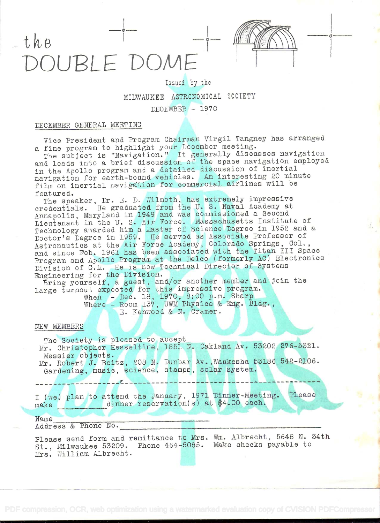# the  $-\frac{1}{1}$   $-\frac{1}{1}$   $\frac{1}{1}$ IUBLE DOME



0

## Issued by the MILWAUKEE ASTRONOMICAL SOCIETY  $DECEMBER - 1970$

### DECEMBER GENERAL MEETING

Vice President and Program Chairman Virgil Tangney has arranged a fine program to highlight your December meeting.

The subject is "Navigation." It generally discusses navigation and leads into a brief discussion of the space navigation employed in the Apollo program and a detailed discussion of inertial navigation for earth-bound vehicles. An interesting 20 minute film on inertial navigation for commercial airlines will be featured.

featured. The speaker, Dr. E. D. Wilmoth, has extremely impressive credentials. He graduated from the U. S. Havai Academy at Annapolis, Maryland in 1949 and was commissioned a Second Lieutenant in the U. S. Air Force. Massachusetts Institute of Technology awarded him a Master of Science Degree in 1952 and a Doctor's Degree in 1959. He served as Associate Professor of Astronautics at the Air Force Academy, Colorado Springs, Col., and since Feb. 1961 has been associated with the Titan III Space Program and Apollo Program at the Delco (formerly AC) Electronics Division of G.M. He is now Technical Director of Systems Engineering for the Division.

Bring yourself, a guest, and/or another member and join the large turnout expected for this impressive program.

Vhen - Dec. 18, 1970, 8:00 p.m. Sharp Where - Room 137, UWM Physics & Eng. Bldg.,

E. Kenwood & N. Cramer.

#### NEW MEMBERS

The Society is pleased to accept Mr. Christopher Hesseltine, 1851 N. Oakland Av. 53202 276-5321. Messier objects. Mr. Robert J. Beitz, 208 N. Dunbar Av.,Waukesha 53186 542-2106. Gardening, music, science, stamps, solar system.

<sup>I</sup>(we) plan to attend the January, 1971 Dinner-Meeting. Please make dinner reservation(s) at \$4.00 each.

O<br>Andrew Andrew Andrew Andrew Andrew Andrew Andrew Andrew Andrew Andrew Andrew Andrew Andrew Andrew Andrew Andrew Address & Phone No. \_\_\_\_\_\_\_\_\_\_\_\_\_\_\_\_\_\_\_\_\_\_\_\_\_\_\_\_\_\_\_\_\_\_\_\_\_\_\_\_\_\_\_\_

Please send form and remittance to Mrs. Wm. Albrecht, 5648 N. 34th St., Milwaukee 53209. Phone 464-5085. Make checks payable to Mrs. William Albrecht.